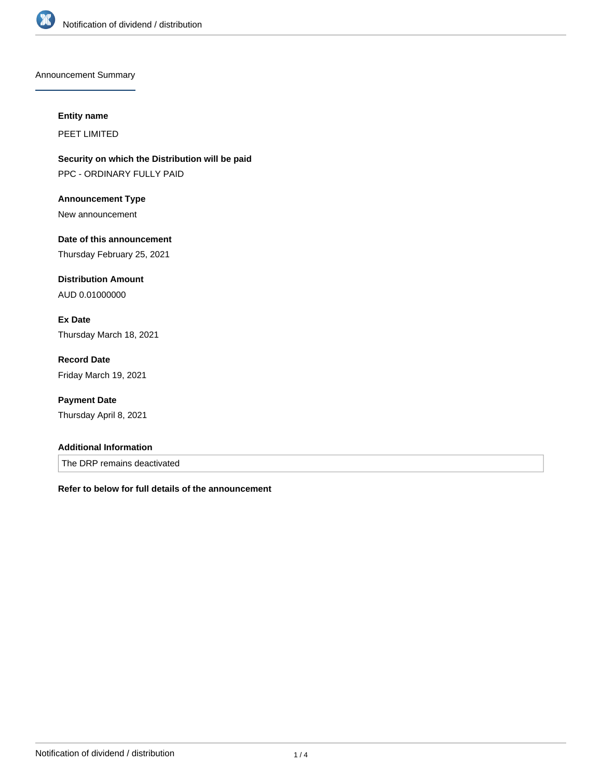

Announcement Summary

#### **Entity name**

PEET LIMITED

**Security on which the Distribution will be paid** PPC - ORDINARY FULLY PAID

**Announcement Type** New announcement

**Date of this announcement** Thursday February 25, 2021

**Distribution Amount** AUD 0.01000000

**Ex Date** Thursday March 18, 2021

**Record Date** Friday March 19, 2021

**Payment Date** Thursday April 8, 2021

### **Additional Information**

The DRP remains deactivated

**Refer to below for full details of the announcement**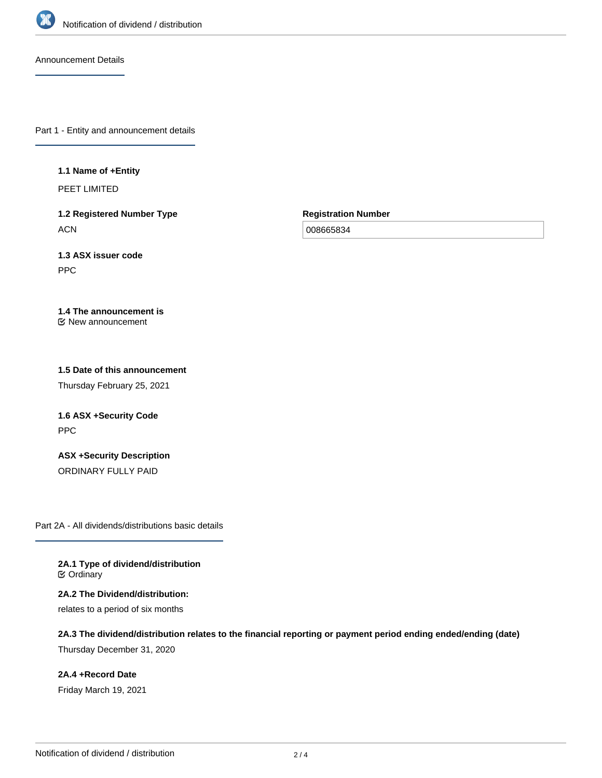

Announcement Details

Part 1 - Entity and announcement details

#### **1.1 Name of +Entity**

PEET LIMITED

**1.2 Registered Number Type ACN** 

**Registration Number**

008665834

**1.3 ASX issuer code** PPC

**1.4 The announcement is** New announcement

**1.5 Date of this announcement**

Thursday February 25, 2021

**1.6 ASX +Security Code** PPC

**ASX +Security Description** ORDINARY FULLY PAID

Part 2A - All dividends/distributions basic details

**2A.1 Type of dividend/distribution ⊘** Ordinary

**2A.2 The Dividend/distribution:** relates to a period of six months

**2A.3 The dividend/distribution relates to the financial reporting or payment period ending ended/ending (date)** Thursday December 31, 2020

**2A.4 +Record Date** Friday March 19, 2021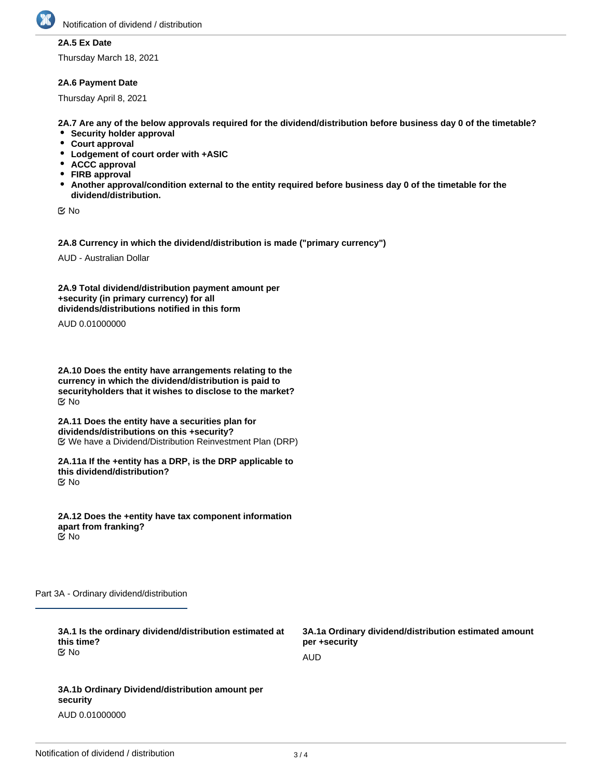

## **2A.5 Ex Date**

Thursday March 18, 2021

### **2A.6 Payment Date**

Thursday April 8, 2021

**2A.7 Are any of the below approvals required for the dividend/distribution before business day 0 of the timetable?**

- **•** Security holder approval
- **Court approval**
- **Lodgement of court order with +ASIC**
- **ACCC approval**
- **FIRB approval**
- **Another approval/condition external to the entity required before business day 0 of the timetable for the dividend/distribution.**

No

**2A.8 Currency in which the dividend/distribution is made ("primary currency")**

AUD - Australian Dollar

**2A.9 Total dividend/distribution payment amount per +security (in primary currency) for all dividends/distributions notified in this form**

AUD 0.01000000

**2A.10 Does the entity have arrangements relating to the currency in which the dividend/distribution is paid to securityholders that it wishes to disclose to the market?** No

**2A.11 Does the entity have a securities plan for dividends/distributions on this +security?** We have a Dividend/Distribution Reinvestment Plan (DRP)

**2A.11a If the +entity has a DRP, is the DRP applicable to this dividend/distribution?** No

**2A.12 Does the +entity have tax component information apart from franking?** No

Part 3A - Ordinary dividend/distribution

| 3A.1 Is the ordinary dividend/distribution estimated at<br>this time?<br><u>ଟ</u> No | 3A.1a Ordinary dividend/distribution estimated amount<br>per +security |
|--------------------------------------------------------------------------------------|------------------------------------------------------------------------|
|                                                                                      | AUD                                                                    |
|                                                                                      |                                                                        |
| 3A.1b Ordinary Dividend/distribution amount per<br>security                          |                                                                        |

AUD 0.01000000